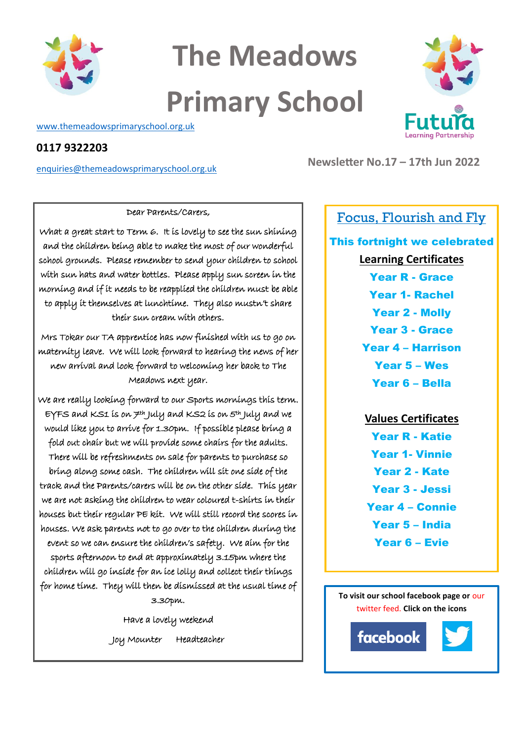

# **The Meadows Primary School**

[www.themeadowsprimaryschool.org.uk](http://www.themeadowsprimaryschool.org.uk/)

## **0117 9322203**

[enquiries@themeadowsprimaryschool.org.uk](mailto:enquiries@themeadowsprimaryschool.org.uk)

What a great start to Term 6. It is lovely to see the sun shining and the children being able to make the most of our wonderful school grounds. Please remember to send your children to school with sun hats and water bottles. Please apply sun screen in the morning and if it needs to be reapplied the children must be able to apply it themselves at lunchtime. They also mustn't share their sun cream with others.

Dear Parents/Carers,

Mrs Tokar our TA apprentice has now finished with us to go on maternity leave. We will look forward to hearing the news of her new arrival and look forward to welcoming her back to The Meadows next year.

We are really looking forward to our Sports mornings this term. EYFS and KS1 is on 7th July and KS2 is on 5th July and we would like you to arrive for 1.30pm. If possible please bring a fold out chair but we will provide some chairs for the adults. There will be refreshments on sale for parents to purchase so bring along some cash. The children will sit one side of the track and the Parents/carers will be on the other side. This year we are not asking the children to wear coloured t-shirts in their houses but their regular PE kit. We will still record the scores in houses. We ask parents not to go over to the children during the event so we can ensure the children's safety. We aim for the sports afternoon to end at approximately 3.15pm where the children will go inside for an ice lolly and collect their things for home time. They will then be dismissed at the usual time of 3.30pm.

> Have a lovely weekend Joy Mounter Headteacher



**Newsletter No.17 – 17th Jun 2022**

# Focus, Flourish and Fly

# This fortnight we celebrated **Learning Certificates** Year R - Grace Year 1- Rachel Year 2 - Molly Year 3 - Grace Year 4 – Harrison Year 5 – Wes

Year 6 – Bella

# **Values Certificates**

Year R - Katie Year 1- Vinnie Year 2 - Kate Year 3 - Jessi Year 4 – Connie Year 5 – India Year 6 – Evie

**To visit our school facebook page or** our twitter feed. **Click on the icons**

 $\begin{array}{c} \hline \end{array}$  $\begin{array}{c} \hline \end{array}$  $\begin{array}{c} \hline \end{array}$ 

facebook

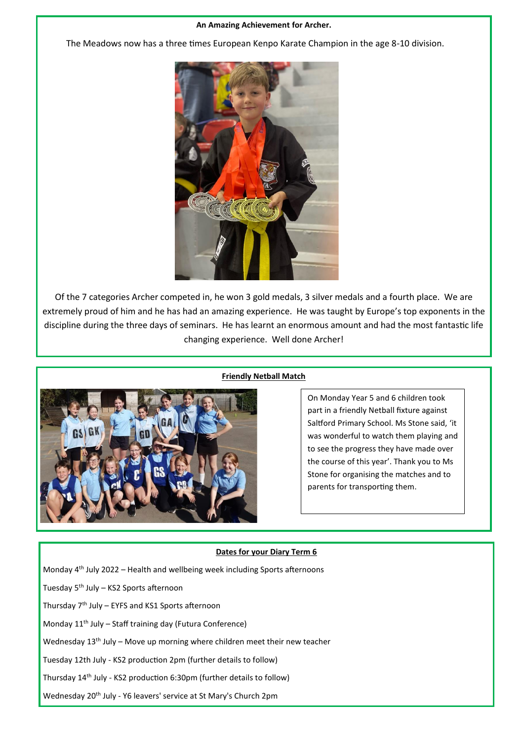#### **An Amazing Achievement for Archer.**

The Meadows now has a three times European Kenpo Karate Champion in the age 8-10 division.



Of the 7 categories Archer competed in, he won 3 gold medals, 3 silver medals and a fourth place. We are extremely proud of him and he has had an amazing experience. He was taught by Europe's top exponents in the discipline during the three days of seminars. He has learnt an enormous amount and had the most fantastic life changing experience. Well done Archer!



#### **Friendly Netball Match**

On Monday Year 5 and 6 children took part in a friendly Netball fixture against Saltford Primary School. Ms Stone said, 'it was wonderful to watch them playing and to see the progress they have made over the course of this year'. Thank you to Ms Stone for organising the matches and to parents for transporting them.

#### **Dates for your Diary Term 6**

Monday  $4<sup>th</sup>$  July 2022 – Health and wellbeing week including Sports afternoons

Tuesday  $5<sup>th</sup>$  July – KS2 Sports afternoon

Thursday 7th July – EYFS and KS1 Sports afternoon

Monday 11<sup>th</sup> July – Staff training day (Futura Conference)

Wednesday 13<sup>th</sup> July – Move up morning where children meet their new teacher

Tuesday 12th July - KS2 production 2pm (further details to follow)

Thursday 14th July - KS2 production 6:30pm (further details to follow)

Wednesday 20<sup>th</sup> July - Y6 leavers' service at St Mary's Church 2pm